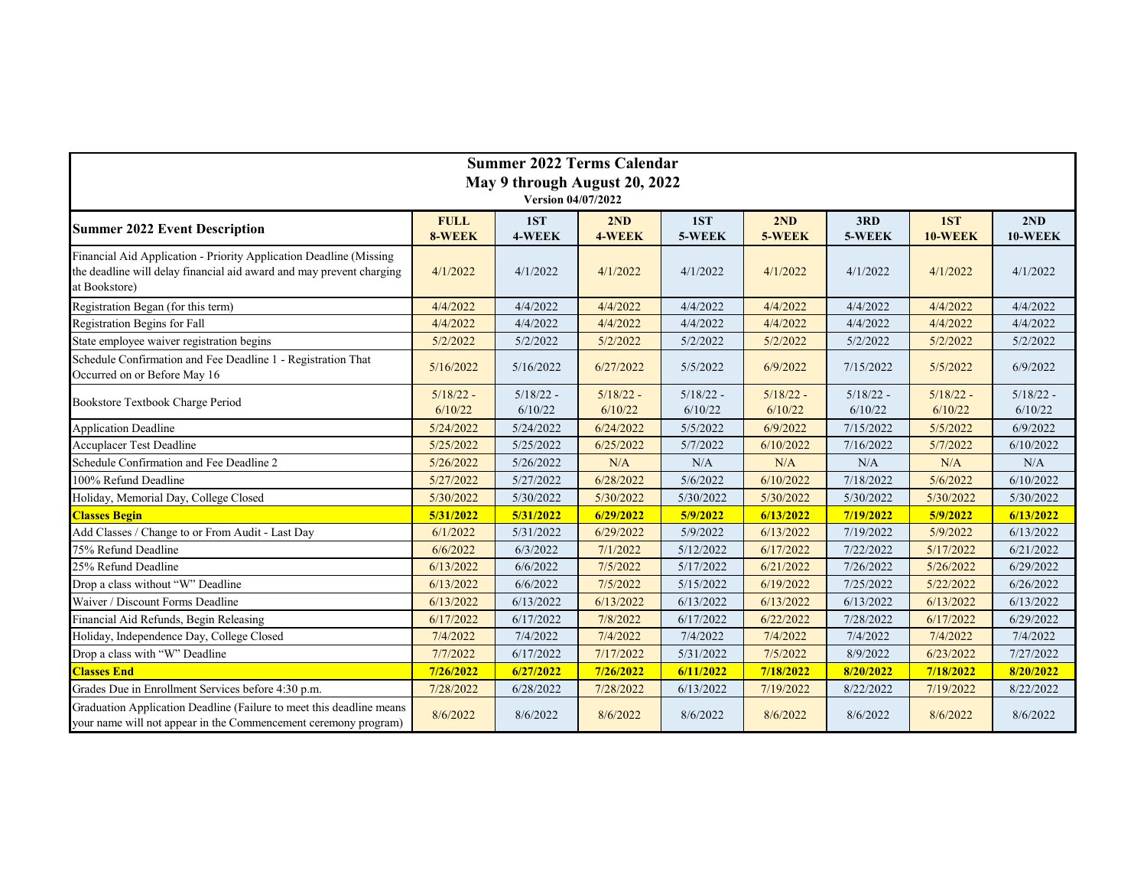| <b>Summer 2022 Terms Calendar</b><br>May 9 through August 20, 2022                                                                                          |             |             |             |             |             |             |             |             |
|-------------------------------------------------------------------------------------------------------------------------------------------------------------|-------------|-------------|-------------|-------------|-------------|-------------|-------------|-------------|
|                                                                                                                                                             |             |             |             |             |             |             |             |             |
| <b>Summer 2022 Event Description</b>                                                                                                                        | <b>FULL</b> | 1ST         | 2ND         | 1ST         | 2ND         | 3RD         | 1ST         | 2ND         |
|                                                                                                                                                             | 8-WEEK      | 4-WEEK      | 4-WEEK      | 5-WEEK      | 5-WEEK      | 5-WEEK      | 10-WEEK     | 10-WEEK     |
| Financial Aid Application - Priority Application Deadline (Missing<br>the deadline will delay financial aid award and may prevent charging<br>at Bookstore) | 4/1/2022    | 4/1/2022    | 4/1/2022    | 4/1/2022    | 4/1/2022    | 4/1/2022    | 4/1/2022    | 4/1/2022    |
| Registration Began (for this term)                                                                                                                          | 4/4/2022    | 4/4/2022    | 4/4/2022    | 4/4/2022    | 4/4/2022    | 4/4/2022    | 4/4/2022    | 4/4/2022    |
| Registration Begins for Fall                                                                                                                                | 4/4/2022    | 4/4/2022    | 4/4/2022    | 4/4/2022    | 4/4/2022    | 4/4/2022    | 4/4/2022    | 4/4/2022    |
| State employee waiver registration begins                                                                                                                   | 5/2/2022    | 5/2/2022    | 5/2/2022    | 5/2/2022    | 5/2/2022    | 5/2/2022    | 5/2/2022    | 5/2/2022    |
| Schedule Confirmation and Fee Deadline 1 - Registration That<br>Occurred on or Before May 16                                                                | 5/16/2022   | 5/16/2022   | 6/27/2022   | 5/5/2022    | 6/9/2022    | 7/15/2022   | 5/5/2022    | 6/9/2022    |
| Bookstore Textbook Charge Period                                                                                                                            | $5/18/22 -$ | $5/18/22 -$ | $5/18/22 -$ | $5/18/22 -$ | $5/18/22 -$ | $5/18/22 -$ | $5/18/22 -$ | $5/18/22 -$ |
|                                                                                                                                                             | 6/10/22     | 6/10/22     | 6/10/22     | 6/10/22     | 6/10/22     | 6/10/22     | 6/10/22     | 6/10/22     |
| Application Deadline                                                                                                                                        | 5/24/2022   | 5/24/2022   | 6/24/2022   | 5/5/2022    | 6/9/2022    | 7/15/2022   | 5/5/2022    | 6/9/2022    |
| Accuplacer Test Deadline                                                                                                                                    | 5/25/2022   | 5/25/2022   | 6/25/2022   | 5/7/2022    | 6/10/2022   | 7/16/2022   | 5/7/2022    | 6/10/2022   |
| Schedule Confirmation and Fee Deadline 2                                                                                                                    | 5/26/2022   | 5/26/2022   | N/A         | N/A         | N/A         | N/A         | N/A         | N/A         |
| 100% Refund Deadline                                                                                                                                        | 5/27/2022   | 5/27/2022   | 6/28/2022   | 5/6/2022    | 6/10/2022   | 7/18/2022   | 5/6/2022    | 6/10/2022   |
| Holiday, Memorial Day, College Closed                                                                                                                       | 5/30/2022   | 5/30/2022   | 5/30/2022   | 5/30/2022   | 5/30/2022   | 5/30/2022   | 5/30/2022   | 5/30/2022   |
| <b>Classes Begin</b>                                                                                                                                        | 5/31/2022   | 5/31/2022   | 6/29/2022   | 5/9/2022    | 6/13/2022   | 7/19/2022   | 5/9/2022    | 6/13/2022   |
| Add Classes / Change to or From Audit - Last Day                                                                                                            | 6/1/2022    | 5/31/2022   | 6/29/2022   | 5/9/2022    | 6/13/2022   | 7/19/2022   | 5/9/2022    | 6/13/2022   |
| 75% Refund Deadline                                                                                                                                         | 6/6/2022    | 6/3/2022    | 7/1/2022    | 5/12/2022   | 6/17/2022   | 7/22/2022   | 5/17/2022   | 6/21/2022   |
| 25% Refund Deadline                                                                                                                                         | 6/13/2022   | 6/6/2022    | 7/5/2022    | 5/17/2022   | 6/21/2022   | 7/26/2022   | 5/26/2022   | 6/29/2022   |
| Drop a class without "W" Deadline                                                                                                                           | 6/13/2022   | 6/6/2022    | 7/5/2022    | 5/15/2022   | 6/19/2022   | 7/25/2022   | 5/22/2022   | 6/26/2022   |
| Waiver / Discount Forms Deadline                                                                                                                            | 6/13/2022   | 6/13/2022   | 6/13/2022   | 6/13/2022   | 6/13/2022   | 6/13/2022   | 6/13/2022   | 6/13/2022   |
| Financial Aid Refunds, Begin Releasing                                                                                                                      | 6/17/2022   | 6/17/2022   | 7/8/2022    | 6/17/2022   | 6/22/2022   | 7/28/2022   | 6/17/2022   | 6/29/2022   |
| Holiday, Independence Day, College Closed                                                                                                                   | 7/4/2022    | 7/4/2022    | 7/4/2022    | 7/4/2022    | 7/4/2022    | 7/4/2022    | 7/4/2022    | 7/4/2022    |
| Drop a class with "W" Deadline                                                                                                                              | 7/7/2022    | 6/17/2022   | 7/17/2022   | 5/31/2022   | 7/5/2022    | 8/9/2022    | 6/23/2022   | 7/27/2022   |
| <b>Classes End</b>                                                                                                                                          | 7/26/2022   | 6/27/2022   | 7/26/2022   | 6/11/2022   | 7/18/2022   | 8/20/2022   | 7/18/2022   | 8/20/2022   |
| Grades Due in Enrollment Services before 4:30 p.m.                                                                                                          | 7/28/2022   | 6/28/2022   | 7/28/2022   | 6/13/2022   | 7/19/2022   | 8/22/2022   | 7/19/2022   | 8/22/2022   |
| Graduation Application Deadline (Failure to meet this deadline means<br>your name will not appear in the Commencement ceremony program)                     | 8/6/2022    | 8/6/2022    | 8/6/2022    | 8/6/2022    | 8/6/2022    | 8/6/2022    | 8/6/2022    | 8/6/2022    |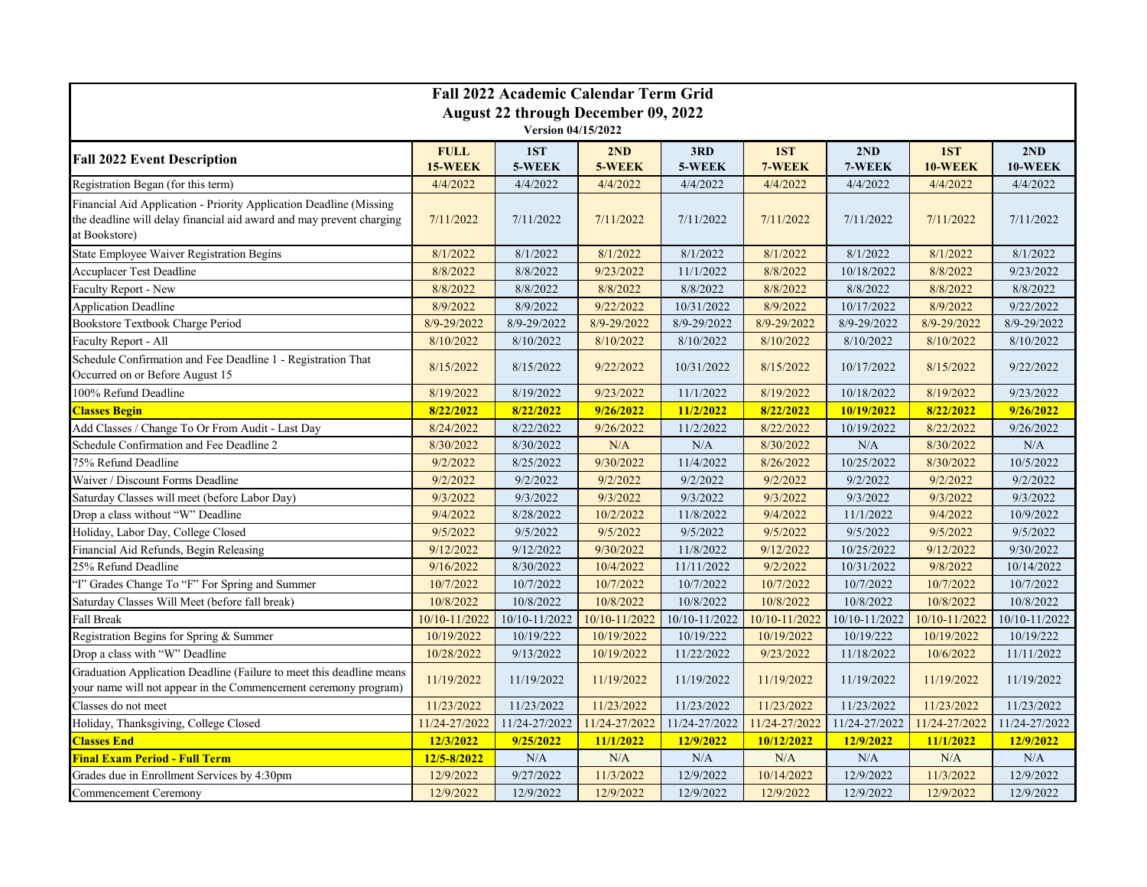| <b>Fall 2022 Academic Calendar Term Grid</b>                                                                                                                |                               |               |               |               |               |               |                |                |
|-------------------------------------------------------------------------------------------------------------------------------------------------------------|-------------------------------|---------------|---------------|---------------|---------------|---------------|----------------|----------------|
| <b>August 22 through December 09, 2022</b>                                                                                                                  |                               |               |               |               |               |               |                |                |
| Version 04/15/2022                                                                                                                                          |                               |               |               |               |               |               |                |                |
| <b>Fall 2022 Event Description</b>                                                                                                                          | <b>FULL</b><br><b>15-WEEK</b> | 1ST<br>5-WEEK | 2ND<br>5-WEEK | 3RD<br>5-WEEK | 1ST<br>7-WEEK | 2ND<br>7-WEEK | 1ST<br>10-WEEK | 2ND<br>10-WEEK |
| Registration Began (for this term)                                                                                                                          | 4/4/2022                      | 4/4/2022      | 4/4/2022      | 4/4/2022      | 4/4/2022      | 4/4/2022      | 4/4/2022       | 4/4/2022       |
| Financial Aid Application - Priority Application Deadline (Missing<br>the deadline will delay financial aid award and may prevent charging<br>at Bookstore) | 7/11/2022                     | 7/11/2022     | 7/11/2022     | 7/11/2022     | 7/11/2022     | 7/11/2022     | 7/11/2022      | 7/11/2022      |
| State Employee Waiver Registration Begins                                                                                                                   | 8/1/2022                      | 8/1/2022      | 8/1/2022      | 8/1/2022      | 8/1/2022      | 8/1/2022      | 8/1/2022       | 8/1/2022       |
| Accuplacer Test Deadline                                                                                                                                    | 8/8/2022                      | 8/8/2022      | 9/23/2022     | 11/1/2022     | 8/8/2022      | 10/18/2022    | 8/8/2022       | 9/23/2022      |
| Faculty Report - New                                                                                                                                        | 8/8/2022                      | 8/8/2022      | 8/8/2022      | 8/8/2022      | 8/8/2022      | 8/8/2022      | 8/8/2022       | 8/8/2022       |
| Application Deadline                                                                                                                                        | 8/9/2022                      | 8/9/2022      | 9/22/2022     | 10/31/2022    | 8/9/2022      | 10/17/2022    | 8/9/2022       | 9/22/2022      |
| Bookstore Textbook Charge Period                                                                                                                            | 8/9-29/2022                   | 8/9-29/2022   | 8/9-29/2022   | 8/9-29/2022   | 8/9-29/2022   | 8/9-29/2022   | 8/9-29/2022    | 8/9-29/2022    |
| Faculty Report - All                                                                                                                                        | 8/10/2022                     | 8/10/2022     | 8/10/2022     | 8/10/2022     | 8/10/2022     | 8/10/2022     | 8/10/2022      | 8/10/2022      |
| Schedule Confirmation and Fee Deadline 1 - Registration That<br>Occurred on or Before August 15                                                             | 8/15/2022                     | 8/15/2022     | 9/22/2022     | 10/31/2022    | 8/15/2022     | 10/17/2022    | 8/15/2022      | 9/22/2022      |
| 100% Refund Deadline                                                                                                                                        | 8/19/2022                     | 8/19/2022     | 9/23/2022     | 11/1/2022     | 8/19/2022     | 10/18/2022    | 8/19/2022      | 9/23/2022      |
| <b>Classes Begin</b>                                                                                                                                        | 8/22/2022                     | 8/22/2022     | 9/26/2022     | 11/2/2022     | 8/22/2022     | 10/19/2022    | 8/22/2022      | 9/26/2022      |
| Add Classes / Change To Or From Audit - Last Day                                                                                                            | 8/24/2022                     | 8/22/2022     | 9/26/2022     | 11/2/2022     | 8/22/2022     | 10/19/2022    | 8/22/2022      | 9/26/2022      |
| Schedule Confirmation and Fee Deadline 2                                                                                                                    | 8/30/2022                     | 8/30/2022     | N/A           | N/A           | 8/30/2022     | N/A           | 8/30/2022      | N/A            |
| 75% Refund Deadline                                                                                                                                         | 9/2/2022                      | 8/25/2022     | 9/30/2022     | 11/4/2022     | 8/26/2022     | 10/25/2022    | 8/30/2022      | 10/5/2022      |
| Waiver / Discount Forms Deadline                                                                                                                            | 9/2/2022                      | 9/2/2022      | 9/2/2022      | 9/2/2022      | 9/2/2022      | 9/2/2022      | 9/2/2022       | 9/2/2022       |
| Saturday Classes will meet (before Labor Day)                                                                                                               | 9/3/2022                      | 9/3/2022      | 9/3/2022      | 9/3/2022      | 9/3/2022      | 9/3/2022      | 9/3/2022       | 9/3/2022       |
| Drop a class without "W" Deadline                                                                                                                           | 9/4/2022                      | 8/28/2022     | 10/2/2022     | 11/8/2022     | 9/4/2022      | 11/1/2022     | 9/4/2022       | 10/9/2022      |
| Holiday, Labor Day, College Closed                                                                                                                          | 9/5/2022                      | 9/5/2022      | 9/5/2022      | 9/5/2022      | 9/5/2022      | 9/5/2022      | 9/5/2022       | 9/5/2022       |
| Financial Aid Refunds, Begin Releasing                                                                                                                      | 9/12/2022                     | 9/12/2022     | 9/30/2022     | 11/8/2022     | 9/12/2022     | 10/25/2022    | 9/12/2022      | 9/30/2022      |
| 25% Refund Deadline                                                                                                                                         | 9/16/2022                     | 8/30/2022     | 10/4/2022     | 11/11/2022    | 9/2/2022      | 10/31/2022    | 9/8/2022       | 10/14/2022     |
| "I" Grades Change To "F" For Spring and Summer                                                                                                              | 10/7/2022                     | 10/7/2022     | 10/7/2022     | 10/7/2022     | 10/7/2022     | 10/7/2022     | 10/7/2022      | 10/7/2022      |
| Saturday Classes Will Meet (before fall break)                                                                                                              | 10/8/2022                     | 10/8/2022     | 10/8/2022     | 10/8/2022     | 10/8/2022     | 10/8/2022     | 10/8/2022      | 10/8/2022      |
| Fall Break                                                                                                                                                  | 10/10-11/2022                 | 10/10-11/2022 | 10/10-11/2022 | 10/10-11/2022 | 10/10-11/2022 | 10/10-11/2022 | 10/10-11/2022  | 10/10-11/2022  |
| Registration Begins for Spring & Summer                                                                                                                     | 10/19/2022                    | 10/19/222     | 10/19/2022    | 10/19/222     | 10/19/2022    | 10/19/222     | 10/19/2022     | 10/19/222      |
| Drop a class with "W" Deadline                                                                                                                              | 10/28/2022                    | 9/13/2022     | 10/19/2022    | 11/22/2022    | 9/23/2022     | 11/18/2022    | 10/6/2022      | 11/11/2022     |
| Graduation Application Deadline (Failure to meet this deadline means<br>your name will not appear in the Commencement ceremony program)                     | 11/19/2022                    | 11/19/2022    | 11/19/2022    | 11/19/2022    | 11/19/2022    | 11/19/2022    | 11/19/2022     | 11/19/2022     |
| Classes do not meet                                                                                                                                         | 11/23/2022                    | 11/23/2022    | 11/23/2022    | 11/23/2022    | 11/23/2022    | 11/23/2022    | 11/23/2022     | 11/23/2022     |
| Holiday, Thanksgiving, College Closed                                                                                                                       | 11/24-27/2022                 | 11/24-27/2022 | 11/24-27/2022 | 11/24-27/2022 | 11/24-27/2022 | 11/24-27/2022 | 11/24-27/2022  | 11/24-27/2022  |
| <b>Classes End</b>                                                                                                                                          | 12/3/2022                     | 9/25/2022     | 11/1/2022     | 12/9/2022     | 10/12/2022    | 12/9/2022     | 11/1/2022      | 12/9/2022      |
| <b>Final Exam Period - Full Term</b>                                                                                                                        | 12/5-8/2022                   | N/A           | N/A           | N/A           | N/A           | N/A           | N/A            | N/A            |
| Grades due in Enrollment Services by 4:30pm                                                                                                                 | 12/9/2022                     | 9/27/2022     | 11/3/2022     | 12/9/2022     | 10/14/2022    | 12/9/2022     | 11/3/2022      | 12/9/2022      |
| Commencement Ceremony                                                                                                                                       | 12/9/2022                     | 12/9/2022     | 12/9/2022     | 12/9/2022     | 12/9/2022     | 12/9/2022     | 12/9/2022      | 12/9/2022      |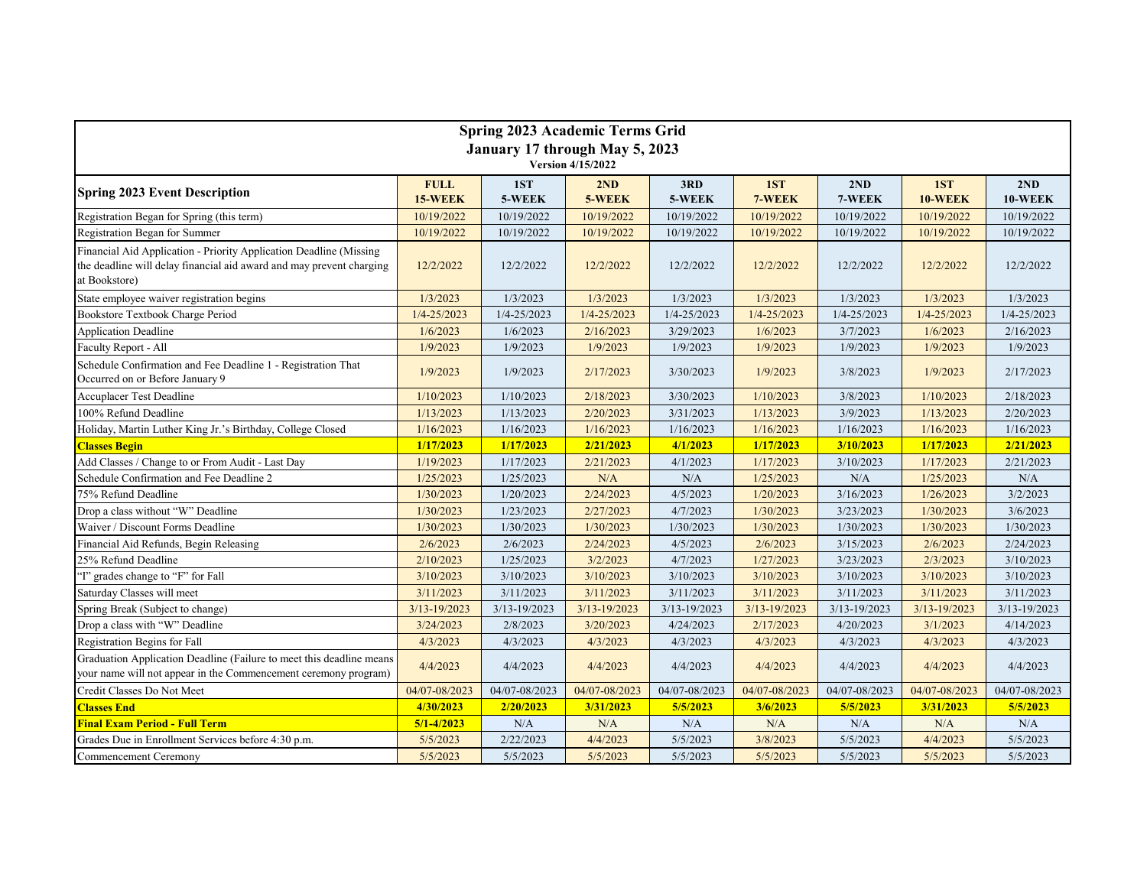| <b>Spring 2023 Academic Terms Grid</b>                                                                                                                      |                        |               |                 |                 |               |                  |                 |                  |  |
|-------------------------------------------------------------------------------------------------------------------------------------------------------------|------------------------|---------------|-----------------|-----------------|---------------|------------------|-----------------|------------------|--|
| January 17 through May 5, 2023                                                                                                                              |                        |               |                 |                 |               |                  |                 |                  |  |
| Version 4/15/2022                                                                                                                                           |                        |               |                 |                 |               |                  |                 |                  |  |
| <b>Spring 2023 Event Description</b>                                                                                                                        | <b>FULL</b><br>15-WEEK | 1ST<br>5-WEEK | 2ND<br>5-WEEK   | 3RD<br>5-WEEK   | 1ST<br>7-WEEK | 2ND<br>7-WEEK    | 1ST<br>10-WEEK  | 2ND<br>10-WEEK   |  |
| Registration Began for Spring (this term)                                                                                                                   | 10/19/2022             | 10/19/2022    | 10/19/2022      | 10/19/2022      | 10/19/2022    | 10/19/2022       | 10/19/2022      | 10/19/2022       |  |
| Registration Began for Summer                                                                                                                               | 10/19/2022             | 10/19/2022    | 10/19/2022      | 10/19/2022      | 10/19/2022    | 10/19/2022       | 10/19/2022      | 10/19/2022       |  |
| Financial Aid Application - Priority Application Deadline (Missing<br>the deadline will delay financial aid award and may prevent charging<br>at Bookstore) | 12/2/2022              | 12/2/2022     | 12/2/2022       | 12/2/2022       | 12/2/2022     | 12/2/2022        | 12/2/2022       | 12/2/2022        |  |
| State employee waiver registration begins                                                                                                                   | 1/3/2023               | 1/3/2023      | 1/3/2023        | 1/3/2023        | 1/3/2023      | 1/3/2023         | 1/3/2023        | 1/3/2023         |  |
| Bookstore Textbook Charge Period                                                                                                                            | 1/4-25/2023            | 1/4-25/2023   | $1/4 - 25/2023$ | $1/4 - 25/2023$ | 1/4-25/2023   | $1/4 - 25/2023$  | $1/4 - 25/2023$ | 1/4-25/2023      |  |
| Application Deadline                                                                                                                                        | 1/6/2023               | 1/6/2023      | 2/16/2023       | 3/29/2023       | 1/6/2023      | 3/7/2023         | 1/6/2023        | 2/16/2023        |  |
| Faculty Report - All                                                                                                                                        | 1/9/2023               | 1/9/2023      | 1/9/2023        | 1/9/2023        | 1/9/2023      | 1/9/2023         | 1/9/2023        | 1/9/2023         |  |
| Schedule Confirmation and Fee Deadline 1 - Registration That<br>Occurred on or Before January 9                                                             | 1/9/2023               | 1/9/2023      | 2/17/2023       | 3/30/2023       | 1/9/2023      | 3/8/2023         | 1/9/2023        | 2/17/2023        |  |
| <b>Accuplacer Test Deadline</b>                                                                                                                             | 1/10/2023              | 1/10/2023     | 2/18/2023       | 3/30/2023       | 1/10/2023     | 3/8/2023         | 1/10/2023       | 2/18/2023        |  |
| 100% Refund Deadline                                                                                                                                        | 1/13/2023              | 1/13/2023     | 2/20/2023       | 3/31/2023       | 1/13/2023     | 3/9/2023         | 1/13/2023       | 2/20/2023        |  |
| Holiday, Martin Luther King Jr.'s Birthday, College Closed                                                                                                  | 1/16/2023              | 1/16/2023     | 1/16/2023       | 1/16/2023       | 1/16/2023     | 1/16/2023        | 1/16/2023       | 1/16/2023        |  |
| <b>Classes Begin</b>                                                                                                                                        | 1/17/2023              | 1/17/2023     | 2/21/2023       | 4/1/2023        | 1/17/2023     | 3/10/2023        | 1/17/2023       | 2/21/2023        |  |
| Add Classes / Change to or From Audit - Last Day                                                                                                            | 1/19/2023              | 1/17/2023     | 2/21/2023       | 4/1/2023        | 1/17/2023     | 3/10/2023        | 1/17/2023       | 2/21/2023        |  |
| Schedule Confirmation and Fee Deadline 2                                                                                                                    | 1/25/2023              | 1/25/2023     | N/A             | N/A             | 1/25/2023     | N/A              | 1/25/2023       | N/A              |  |
| 75% Refund Deadline                                                                                                                                         | 1/30/2023              | 1/20/2023     | 2/24/2023       | 4/5/2023        | 1/20/2023     | 3/16/2023        | 1/26/2023       | 3/2/2023         |  |
| Drop a class without "W" Deadline                                                                                                                           | 1/30/2023              | 1/23/2023     | 2/27/2023       | 4/7/2023        | 1/30/2023     | 3/23/2023        | 1/30/2023       | 3/6/2023         |  |
| Waiver / Discount Forms Deadline                                                                                                                            | 1/30/2023              | 1/30/2023     | 1/30/2023       | 1/30/2023       | 1/30/2023     | 1/30/2023        | 1/30/2023       | 1/30/2023        |  |
| Financial Aid Refunds, Begin Releasing                                                                                                                      | 2/6/2023               | 2/6/2023      | 2/24/2023       | 4/5/2023        | 2/6/2023      | 3/15/2023        | 2/6/2023        | 2/24/2023        |  |
| 25% Refund Deadline                                                                                                                                         | 2/10/2023              | 1/25/2023     | 3/2/2023        | 4/7/2023        | 1/27/2023     | 3/23/2023        | 2/3/2023        | 3/10/2023        |  |
| "I" grades change to "F" for Fall                                                                                                                           | 3/10/2023              | 3/10/2023     | 3/10/2023       | 3/10/2023       | 3/10/2023     | 3/10/2023        | 3/10/2023       | 3/10/2023        |  |
| Saturday Classes will meet                                                                                                                                  | 3/11/2023              | 3/11/2023     | 3/11/2023       | 3/11/2023       | 3/11/2023     | 3/11/2023        | 3/11/2023       | 3/11/2023        |  |
| Spring Break (Subject to change)                                                                                                                            | 3/13-19/2023           | 3/13-19/2023  | 3/13-19/2023    | 3/13-19/2023    | 3/13-19/2023  | $3/13 - 19/2023$ | 3/13-19/2023    | $3/13 - 19/2023$ |  |
| Drop a class with "W" Deadline                                                                                                                              | 3/24/2023              | 2/8/2023      | 3/20/2023       | 4/24/2023       | 2/17/2023     | 4/20/2023        | 3/1/2023        | 4/14/2023        |  |
| Registration Begins for Fall                                                                                                                                | 4/3/2023               | 4/3/2023      | 4/3/2023        | 4/3/2023        | 4/3/2023      | 4/3/2023         | 4/3/2023        | 4/3/2023         |  |
| Graduation Application Deadline (Failure to meet this deadline means<br>your name will not appear in the Commencement ceremony program)                     | 4/4/2023               | 4/4/2023      | 4/4/2023        | 4/4/2023        | 4/4/2023      | 4/4/2023         | 4/4/2023        | 4/4/2023         |  |
| Credit Classes Do Not Meet                                                                                                                                  | 04/07-08/2023          | 04/07-08/2023 | 04/07-08/2023   | 04/07-08/2023   | 04/07-08/2023 | 04/07-08/2023    | 04/07-08/2023   | 04/07-08/2023    |  |
| <b>Classes End</b>                                                                                                                                          | 4/30/2023              | 2/20/2023     | 3/31/2023       | 5/5/2023        | 3/6/2023      | 5/5/2023         | 3/31/2023       | 5/5/2023         |  |
| <b>Final Exam Period - Full Term</b>                                                                                                                        | $5/1 - 4/2023$         | N/A           | N/A             | N/A             | N/A           | N/A              | N/A             | N/A              |  |
| Grades Due in Enrollment Services before 4:30 p.m.                                                                                                          | 5/5/2023               | 2/22/2023     | 4/4/2023        | 5/5/2023        | 3/8/2023      | 5/5/2023         | 4/4/2023        | 5/5/2023         |  |
| Commencement Ceremony                                                                                                                                       | 5/5/2023               | 5/5/2023      | 5/5/2023        | 5/5/2023        | 5/5/2023      | 5/5/2023         | 5/5/2023        | 5/5/2023         |  |